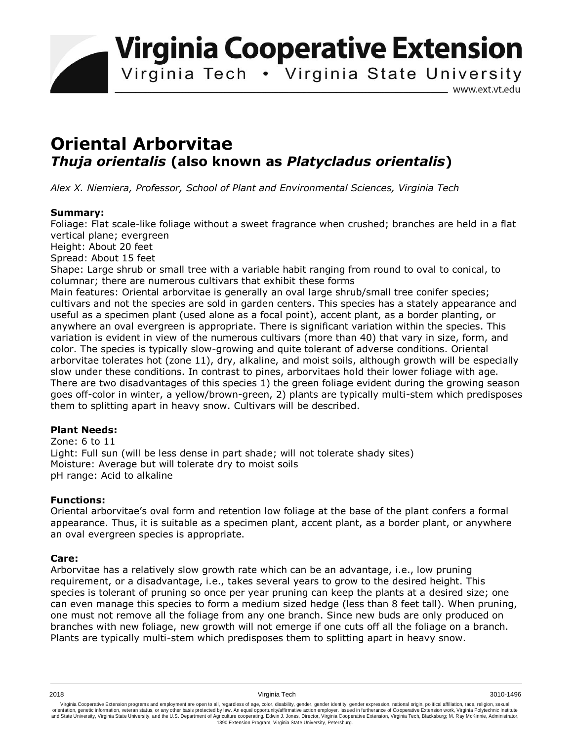**Virginia Cooperative Extension** 

Virginia Tech . Virginia State University

www.ext.vt.edu

# **Oriental Arborvitae** *Thuja orientalis* **(also known as** *Platycladus orientalis***)**

*Alex X. Niemiera, Professor, School of Plant and Environmental Sciences, Virginia Tech*

### **Summary:**

Foliage: Flat scale-like foliage without a sweet fragrance when crushed; branches are held in a flat vertical plane; evergreen

Height: About 20 feet

Spread: About 15 feet

Shape: Large shrub or small tree with a variable habit ranging from round to oval to conical, to columnar; there are numerous cultivars that exhibit these forms

Main features: Oriental arborvitae is generally an oval large shrub/small tree conifer species; cultivars and not the species are sold in garden centers. This species has a stately appearance and useful as a specimen plant (used alone as a focal point), accent plant, as a border planting, or anywhere an oval evergreen is appropriate. There is significant variation within the species. This variation is evident in view of the numerous cultivars (more than 40) that vary in size, form, and color. The species is typically slow-growing and quite tolerant of adverse conditions. Oriental arborvitae tolerates hot (zone 11), dry, alkaline, and moist soils, although growth will be especially slow under these conditions. In contrast to pines, arborvitaes hold their lower foliage with age. There are two disadvantages of this species 1) the green foliage evident during the growing season goes off-color in winter, a yellow/brown-green, 2) plants are typically multi-stem which predisposes them to splitting apart in heavy snow. Cultivars will be described.

## **Plant Needs:**

Zone: 6 to 11 Light: Full sun (will be less dense in part shade; will not tolerate shady sites) Moisture: Average but will tolerate dry to moist soils pH range: Acid to alkaline

### **Functions:**

Oriental arborvitae's oval form and retention low foliage at the base of the plant confers a formal appearance. Thus, it is suitable as a specimen plant, accent plant, as a border plant, or anywhere an oval evergreen species is appropriate.

### **Care:**

Arborvitae has a relatively slow growth rate which can be an advantage, i.e., low pruning requirement, or a disadvantage, i.e., takes several years to grow to the desired height. This species is tolerant of pruning so once per year pruning can keep the plants at a desired size; one can even manage this species to form a medium sized hedge (less than 8 feet tall). When pruning, one must not remove all the foliage from any one branch. Since new buds are only produced on branches with new foliage, new growth will not emerge if one cuts off all the foliage on a branch. Plants are typically multi-stem which predisposes them to splitting apart in heavy snow.